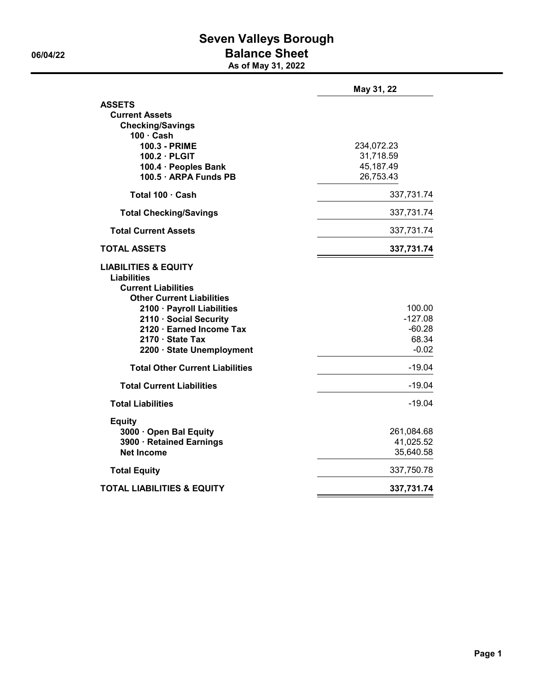## **Seven Valleys Borough 06/04/22 Balance Sheet**

**As of May 31, 2022**

|                                                                                                                                                                                                             | May 31, 22                           |
|-------------------------------------------------------------------------------------------------------------------------------------------------------------------------------------------------------------|--------------------------------------|
| <b>ASSETS</b>                                                                                                                                                                                               |                                      |
| <b>Current Assets</b>                                                                                                                                                                                       |                                      |
| <b>Checking/Savings</b><br>$100 \cdot$ Cash                                                                                                                                                                 |                                      |
| <b>100.3 - PRIME</b>                                                                                                                                                                                        | 234,072.23                           |
| $100.2 \cdot$ PLGIT                                                                                                                                                                                         | 31,718.59                            |
| 100.4 · Peoples Bank                                                                                                                                                                                        | 45,187.49                            |
| 100.5 · ARPA Funds PB                                                                                                                                                                                       | 26,753.43                            |
| Total 100 · Cash                                                                                                                                                                                            | 337,731.74                           |
| <b>Total Checking/Savings</b>                                                                                                                                                                               | 337,731.74                           |
| <b>Total Current Assets</b>                                                                                                                                                                                 | 337,731.74                           |
| <b>TOTAL ASSETS</b>                                                                                                                                                                                         | 337,731.74                           |
| <b>LIABILITIES &amp; EQUITY</b><br><b>Liabilities</b><br><b>Current Liabilities</b><br><b>Other Current Liabilities</b><br>2100 · Payroll Liabilities<br>2110 · Social Security<br>2120 · Earned Income Tax | 100.00<br>$-127.08$<br>$-60.28$      |
| 2170 · State Tax                                                                                                                                                                                            | 68.34                                |
| 2200 · State Unemployment                                                                                                                                                                                   | $-0.02$                              |
| <b>Total Other Current Liabilities</b>                                                                                                                                                                      | $-19.04$                             |
| <b>Total Current Liabilities</b>                                                                                                                                                                            | $-19.04$                             |
| <b>Total Liabilities</b>                                                                                                                                                                                    | $-19.04$                             |
| <b>Equity</b><br>3000 · Open Bal Equity<br>3900 · Retained Earnings<br><b>Net Income</b>                                                                                                                    | 261,084.68<br>41,025.52<br>35,640.58 |
| <b>Total Equity</b>                                                                                                                                                                                         | 337,750.78                           |
| <b>TOTAL LIABILITIES &amp; EQUITY</b>                                                                                                                                                                       | 337,731.74                           |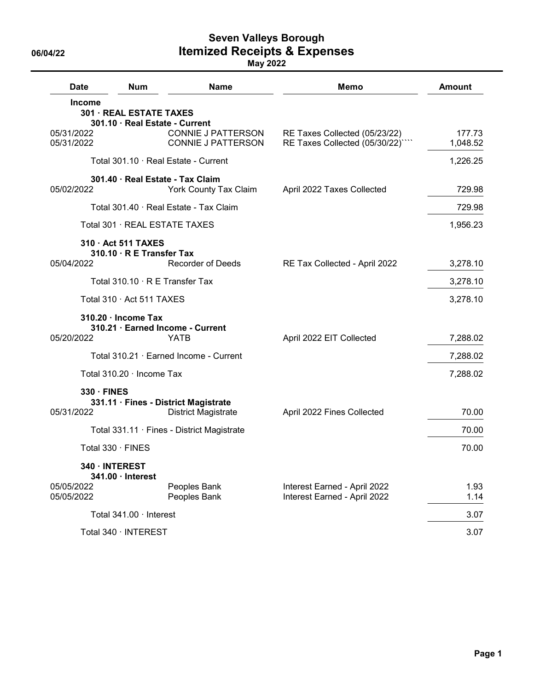**Seven Valleys Borough 06/04/22 Itemized Receipts & Expenses**

| <b>Date</b>              | Num                                                       | <b>Name</b>                                                        | <b>Memo</b>                                                     | <b>Amount</b>      |
|--------------------------|-----------------------------------------------------------|--------------------------------------------------------------------|-----------------------------------------------------------------|--------------------|
| <b>Income</b>            | 301 · REAL ESTATE TAXES<br>301.10 · Real Estate - Current |                                                                    |                                                                 |                    |
| 05/31/2022<br>05/31/2022 |                                                           | <b>CONNIE J PATTERSON</b><br><b>CONNIE J PATTERSON</b>             | RE Taxes Collected (05/23/22)<br>RE Taxes Collected (05/30/22)" | 177.73<br>1,048.52 |
|                          |                                                           | Total 301.10 · Real Estate - Current                               |                                                                 | 1,226.25           |
|                          |                                                           | 301.40 · Real Estate - Tax Claim                                   |                                                                 |                    |
| 05/02/2022               |                                                           | <b>York County Tax Claim</b>                                       | April 2022 Taxes Collected                                      | 729.98             |
|                          |                                                           | Total 301.40 · Real Estate - Tax Claim                             |                                                                 | 729.98             |
|                          |                                                           | Total 301 · REAL ESTATE TAXES                                      |                                                                 | 1,956.23           |
|                          | 310 · Act 511 TAXES                                       |                                                                    |                                                                 |                    |
| 05/04/2022               | $310.10 \cdot R$ E Transfer Tax                           | <b>Recorder of Deeds</b>                                           | RE Tax Collected - April 2022                                   | 3,278.10           |
|                          | Total $310.10 \cdot R$ E Transfer Tax                     |                                                                    |                                                                 | 3,278.10           |
|                          | Total 310 Act 511 TAXES                                   |                                                                    |                                                                 | 3,278.10           |
|                          | 310.20 · Income Tax                                       |                                                                    |                                                                 |                    |
| 05/20/2022               |                                                           | 310.21 · Earned Income - Current<br>YATB                           | April 2022 EIT Collected                                        | 7,288.02           |
|                          |                                                           | Total 310.21 · Earned Income - Current                             |                                                                 | 7,288.02           |
|                          | Total 310.20 · Income Tax                                 |                                                                    |                                                                 | 7,288.02           |
| $330 \cdot$ FINES        |                                                           |                                                                    |                                                                 |                    |
| 05/31/2022               |                                                           | 331.11 · Fines - District Magistrate<br><b>District Magistrate</b> | April 2022 Fines Collected                                      | 70.00              |
|                          |                                                           | Total 331.11 · Fines - District Magistrate                         |                                                                 | 70.00              |
|                          | Total 330 · FINES                                         |                                                                    |                                                                 | 70.00              |
|                          | 340 · INTEREST<br>341.00 · Interest                       |                                                                    |                                                                 |                    |
| 05/05/2022<br>05/05/2022 |                                                           | Peoples Bank<br>Peoples Bank                                       | Interest Earned - April 2022<br>Interest Earned - April 2022    | 1.93<br>1.14       |
|                          |                                                           |                                                                    |                                                                 |                    |
|                          | Total 341.00 · Interest                                   |                                                                    |                                                                 | 3.07               |
|                          | Total 340 · INTEREST                                      |                                                                    |                                                                 | 3.07               |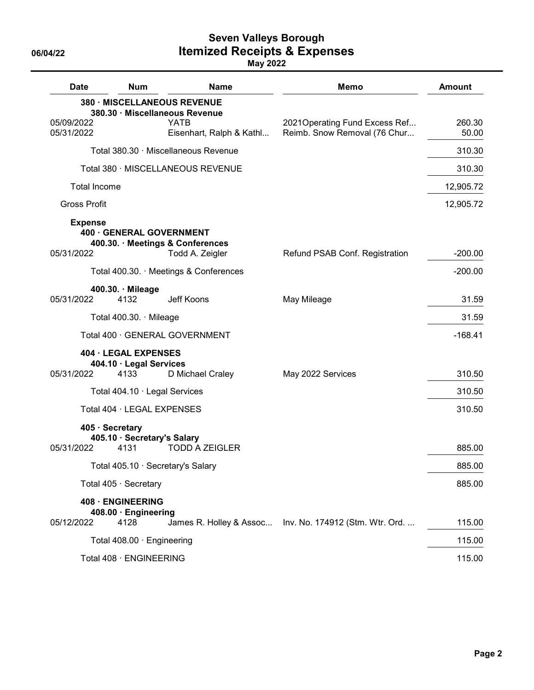## **Seven Valleys Borough 06/04/22 Itemized Receipts & Expenses**

| <b>Date</b>                  | <b>Num</b>                                              | <b>Name</b>                                                                                              | <b>Memo</b>                                                    | <b>Amount</b>   |
|------------------------------|---------------------------------------------------------|----------------------------------------------------------------------------------------------------------|----------------------------------------------------------------|-----------------|
| 05/09/2022<br>05/31/2022     |                                                         | 380 · MISCELLANEOUS REVENUE<br>380.30 · Miscellaneous Revenue<br><b>YATB</b><br>Eisenhart, Ralph & Kathl | 2021 Operating Fund Excess Ref<br>Reimb. Snow Removal (76 Chur | 260.30<br>50.00 |
|                              |                                                         | Total 380.30 · Miscellaneous Revenue                                                                     |                                                                | 310.30          |
|                              |                                                         | Total 380 · MISCELLANEOUS REVENUE                                                                        |                                                                | 310.30          |
| <b>Total Income</b>          |                                                         |                                                                                                          |                                                                | 12,905.72       |
| <b>Gross Profit</b>          |                                                         |                                                                                                          |                                                                | 12,905.72       |
| <b>Expense</b><br>05/31/2022 | 400 · GENERAL GOVERNMENT                                | 400.30. · Meetings & Conferences<br>Todd A. Zeigler                                                      | Refund PSAB Conf. Registration                                 | $-200.00$       |
|                              |                                                         | Total 400.30. Meetings & Conferences                                                                     |                                                                | $-200.00$       |
| 05/31/2022                   | 400.30. Mileage<br>4132                                 | Jeff Koons                                                                                               | May Mileage                                                    | 31.59           |
|                              | Total 400.30. · Mileage                                 |                                                                                                          |                                                                | 31.59           |
|                              |                                                         | Total 400 · GENERAL GOVERNMENT                                                                           |                                                                | $-168.41$       |
| 05/31/2022                   | 404 · LEGAL EXPENSES<br>404.10 · Legal Services<br>4133 | D Michael Craley                                                                                         | May 2022 Services                                              | 310.50          |
|                              | Total 404.10 · Legal Services                           |                                                                                                          |                                                                | 310.50          |
|                              | Total 404 · LEGAL EXPENSES                              |                                                                                                          |                                                                | 310.50          |
| 05/31/2022                   | 405 · Secretary<br>405.10 · Secretary's Salary<br>4131  | <b>TODD A ZEIGLER</b>                                                                                    |                                                                | 885.00          |
|                              |                                                         | Total 405.10 · Secretary's Salary                                                                        |                                                                | 885.00          |
|                              | Total 405 · Secretary                                   |                                                                                                          |                                                                | 885.00          |
| 05/12/2022                   | 408 · ENGINEERING<br>408.00 · Engineering<br>4128       |                                                                                                          | James R. Holley & Assoc Inv. No. 174912 (Stm. Wtr. Ord         | 115.00          |
|                              | Total 408.00 · Engineering                              |                                                                                                          |                                                                | 115.00          |
|                              | Total 408 · ENGINEERING                                 |                                                                                                          |                                                                | 115.00          |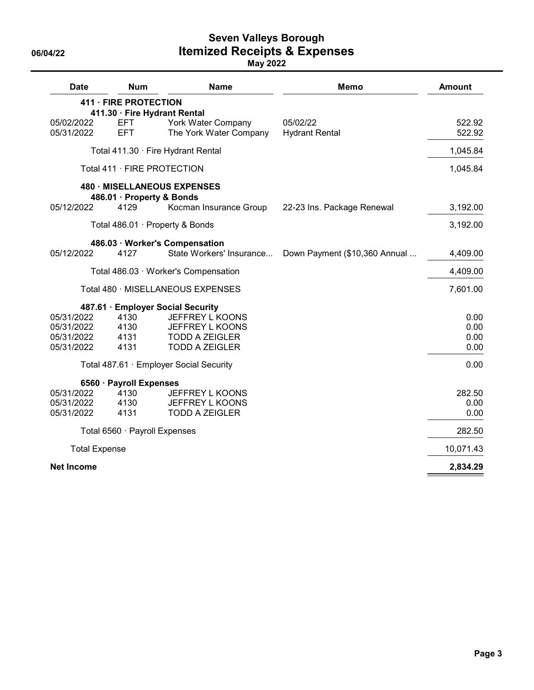**Seven Valleys Borough 06/04/22 Itemized Receipts & Expenses**

| <b>Date</b>                                          | <b>Num</b>                                            | <b>Name</b>                                                                                                               | <b>Memo</b>                       | <b>Amount</b>                |
|------------------------------------------------------|-------------------------------------------------------|---------------------------------------------------------------------------------------------------------------------------|-----------------------------------|------------------------------|
|                                                      | 411 · FIRE PROTECTION<br>411.30 · Fire Hydrant Rental |                                                                                                                           |                                   |                              |
| 05/02/2022<br>05/31/2022                             | <b>EFT</b><br><b>EFT</b>                              | York Water Company<br>The York Water Company                                                                              | 05/02/22<br><b>Hydrant Rental</b> | 522.92<br>522.92             |
|                                                      |                                                       | Total 411.30 · Fire Hydrant Rental                                                                                        |                                   | 1,045.84                     |
|                                                      | Total 411 · FIRE PROTECTION                           |                                                                                                                           |                                   | 1,045.84                     |
|                                                      | 486.01 · Property & Bonds                             | 480 · MISELLANEOUS EXPENSES                                                                                               |                                   |                              |
| 05/12/2022                                           | 4129                                                  | Kocman Insurance Group                                                                                                    | 22-23 Ins. Package Renewal        | 3,192.00                     |
|                                                      |                                                       | Total 486.01 · Property & Bonds                                                                                           |                                   | 3,192.00                     |
| 05/12/2022                                           | 4127                                                  | 486.03 · Worker's Compensation<br>State Workers' Insurance                                                                | Down Payment (\$10,360 Annual     | 4,409.00                     |
|                                                      |                                                       | Total 486.03 · Worker's Compensation                                                                                      |                                   | 4,409.00                     |
|                                                      |                                                       | Total 480 · MISELLANEOUS EXPENSES                                                                                         |                                   | 7,601.00                     |
| 05/31/2022<br>05/31/2022<br>05/31/2022<br>05/31/2022 | 4130<br>4130<br>4131<br>4131                          | 487.61 · Employer Social Security<br>JEFFREY L KOONS<br>JEFFREY L KOONS<br><b>TODD A ZEIGLER</b><br><b>TODD A ZEIGLER</b> |                                   | 0.00<br>0.00<br>0.00<br>0.00 |
|                                                      |                                                       | Total 487.61 · Employer Social Security                                                                                   |                                   | 0.00                         |
| 05/31/2022<br>05/31/2022<br>05/31/2022               | 6560 · Payroll Expenses<br>4130<br>4130<br>4131       | <b>JEFFREY L KOONS</b><br>JEFFREY L KOONS<br><b>TODD A ZEIGLER</b>                                                        |                                   | 282.50<br>0.00<br>0.00       |
|                                                      | Total 6560 · Payroll Expenses                         |                                                                                                                           |                                   | 282.50                       |
| <b>Total Expense</b>                                 |                                                       |                                                                                                                           |                                   | 10,071.43                    |
| <b>Net Income</b>                                    |                                                       |                                                                                                                           |                                   | 2,834.29                     |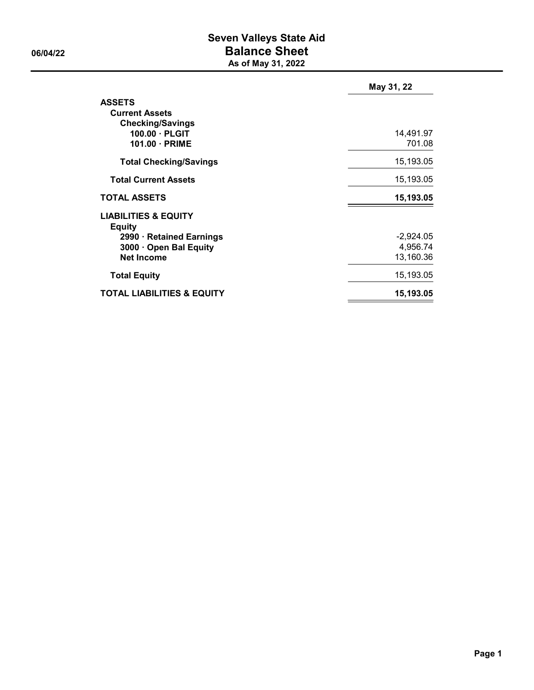## **Seven Valleys State Aid 06/04/22 Balance Sheet As of May 31, 2022**

|                                                                   | May 31, 22          |
|-------------------------------------------------------------------|---------------------|
| <b>ASSETS</b><br><b>Current Assets</b><br><b>Checking/Savings</b> |                     |
| $100.00 \cdot PLGI$<br>$101.00 \cdot PRIME$                       | 14,491.97<br>701.08 |
| <b>Total Checking/Savings</b>                                     | 15,193.05           |
| <b>Total Current Assets</b>                                       | 15,193.05           |
| <b>TOTAL ASSETS</b>                                               | 15,193.05           |
| <b>LIABILITIES &amp; EQUITY</b><br><b>Equity</b>                  |                     |
| 2990 · Retained Earnings                                          | -2,924.05           |
| 3000 · Open Bal Equity                                            | 4,956.74            |
| <b>Net Income</b>                                                 | 13,160.36           |
| <b>Total Equity</b>                                               | 15,193.05           |
| <b>TOTAL LIABILITIES &amp; EQUITY</b>                             | 15,193.05           |